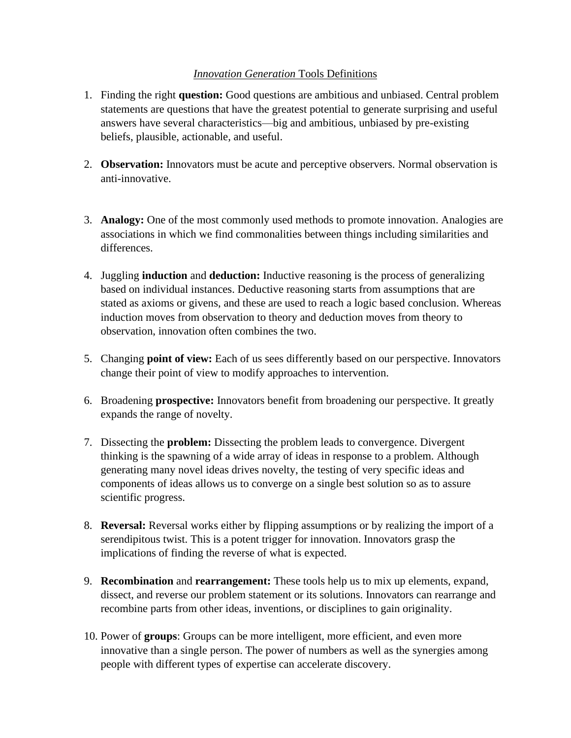## *Innovation Generation* Tools Definitions

- 1. Finding the right **question:** Good questions are ambitious and unbiased. Central problem statements are questions that have the greatest potential to generate surprising and useful answers have several characteristics—big and ambitious, unbiased by pre-existing beliefs, plausible, actionable, and useful.
- 2. **Observation:** Innovators must be acute and perceptive observers. Normal observation is anti-innovative.
- 3. **Analogy:** One of the most commonly used methods to promote innovation. Analogies are associations in which we find commonalities between things including similarities and differences.
- 4. Juggling **induction** and **deduction:** Inductive reasoning is the process of generalizing based on individual instances. Deductive reasoning starts from assumptions that are stated as axioms or givens, and these are used to reach a logic based conclusion. Whereas induction moves from observation to theory and deduction moves from theory to observation, innovation often combines the two.
- 5. Changing **point of view:** Each of us sees differently based on our perspective. Innovators change their point of view to modify approaches to intervention.
- 6. Broadening **prospective:** Innovators benefit from broadening our perspective. It greatly expands the range of novelty.
- 7. Dissecting the **problem:** Dissecting the problem leads to convergence. Divergent thinking is the spawning of a wide array of ideas in response to a problem. Although generating many novel ideas drives novelty, the testing of very specific ideas and components of ideas allows us to converge on a single best solution so as to assure scientific progress.
- 8. **Reversal:** Reversal works either by flipping assumptions or by realizing the import of a serendipitous twist. This is a potent trigger for innovation. Innovators grasp the implications of finding the reverse of what is expected.
- 9. **Recombination** and **rearrangement:** These tools help us to mix up elements, expand, dissect, and reverse our problem statement or its solutions. Innovators can rearrange and recombine parts from other ideas, inventions, or disciplines to gain originality.
- 10. Power of **groups**: Groups can be more intelligent, more efficient, and even more innovative than a single person. The power of numbers as well as the synergies among people with different types of expertise can accelerate discovery.